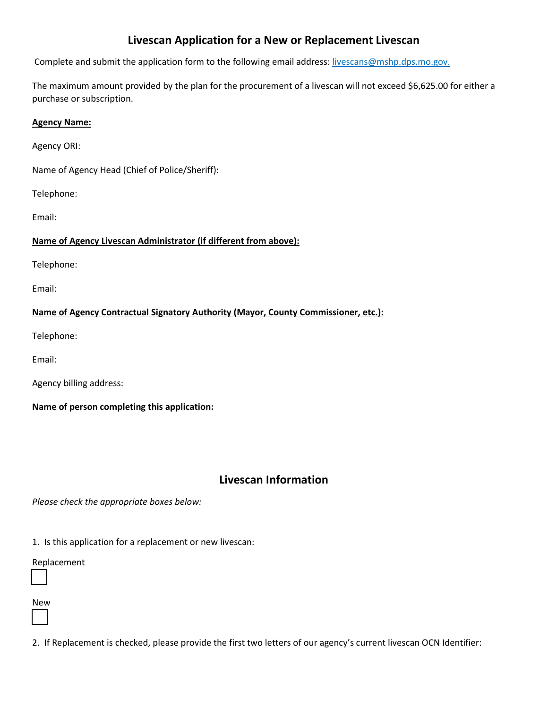# Livescan Application for a New or Replacement Livescan

Complete and submit the application form to the following email address: livescans@mshp.dps.mo.gov.

The maximum amount provided by the plan for the procurement of a livescan will not exceed \$6,625.00 for either a purchase or subscription.

#### Agency Name:

Agency ORI:

Name of Agency Head (Chief of Police/Sheriff):

Telephone:

Email:

### Name of Agency Livescan Administrator (if different from above):

Telephone:

Email:

### Name of Agency Contractual Signatory Authority (Mayor, County Commissioner, etc.):

Telephone:

Email:

Agency billing address:

Name of person completing this application:

## Livescan Information

Please check the appropriate boxes below:

1. Is this application for a replacement or new livescan:

#### Replacement

New

L

2. If Replacement is checked, please provide the first two letters of our agency's current livescan OCN Identifier: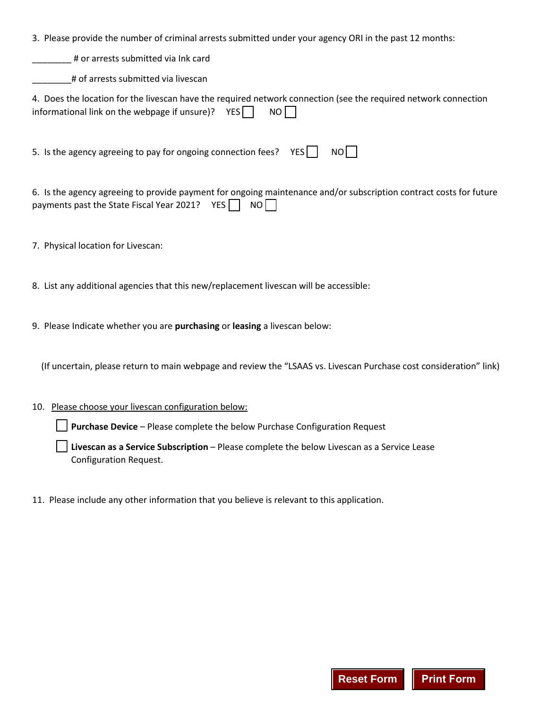3. Please provide the number of criminal arrests submitted under your agency ORI in the past 12 months:

\_\_\_\_\_\_\_\_ # or arrests submitted via Ink card

\_\_\_\_\_\_\_\_# of arrests submitted via livescan

| 4. Does the location for the livescan have the required network connection (see the required network connection |  |  |
|-----------------------------------------------------------------------------------------------------------------|--|--|
| informational link on the webpage if unsure)? $YES \n\bigcap \nNOF$                                             |  |  |

5. Is the agency agreeing to pay for ongoing connection fees?  $YES$  NO

6. Is the agency agreeing to provide payment for ongoing maintenance and/or subscription contract costs for future payments past the State Fiscal Year 2021? YES  $\Box$  NO  $\Box$ 

7. Physical location for Livescan:

8. List any additional agencies that this new/replacement livescan will be accessible:

9. Please Indicate whether you are purchasing or leasing a livescan below:

(If uncertain, please return to main webpage and review the "LSAAS vs. Livescan Purchase cost consideration" link)

#### 10. Please choose your livescan configuration below:

**Purchase Device** – Please complete the below Purchase Configuration Request

 Livescan as a Service Subscription – Please complete the below Livescan as a Service Lease Configuration Request.

11. Please include any other information that you believe is relevant to this application.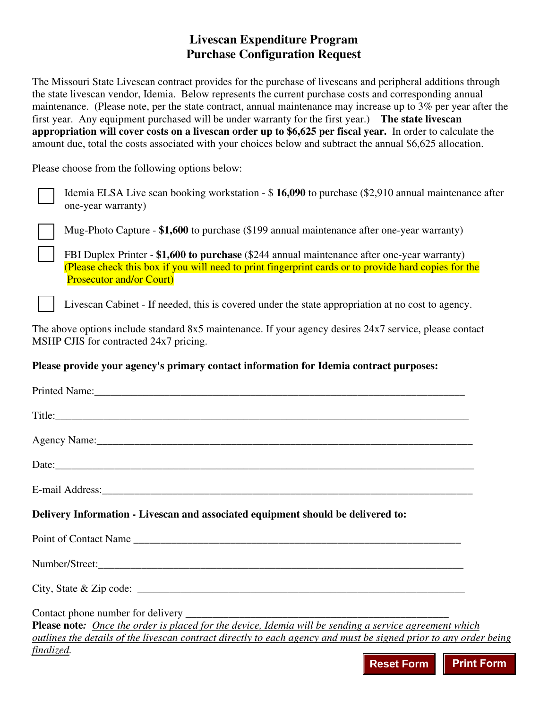# **Livescan Expenditure Program Purchase Configuration Request**

The Missouri State Livescan contract provides for the purchase of livescans and peripheral additions through the state livescan vendor, Idemia. Below represents the current purchase costs and corresponding annual maintenance. (Please note, per the state contract, annual maintenance may increase up to 3% per year after the first year. Any equipment purchased will be under warranty for the first year.) **The state livescan appropriation will cover costs on a livescan order up to \$6,625 per fiscal year.** In order to calculate the amount due, total the costs associated with your choices below and subtract the annual \$6,625 allocation.

Please choose from the following options below:

 Idemia ELSA Live scan booking workstation - \$ **16,090** to purchase (\$2,910 annual maintenance after one-year warranty)

Mug-Photo Capture - **\$1,600** to purchase (\$199 annual maintenance after one-year warranty)

 FBI Duplex Printer - **\$1,600 to purchase** (\$244 annual maintenance after one-year warranty) (Please check this box if you will need to print fingerprint cards or to provide hard copies for the Prosecutor and/or Court)

Livescan Cabinet - If needed, this is covered under the state appropriation at no cost to agency.

The above options include standard 8x5 maintenance. If your agency desires 24x7 service, please contact MSHP CJIS for contracted 24x7 pricing.

### **Please provide your agency's primary contact information for Idemia contract purposes:**

| Agency Name: 1988. Agency Name: 1988. Agency Name: 1988. Agency Name: 1988. Agency Name: 1988. Agency Name: 1988. Agency Name: 1988. Agency Name: 1988. Agency Name: 1988. Agency Name: 1988. Agency Name: 1988. Agency Name: |
|-------------------------------------------------------------------------------------------------------------------------------------------------------------------------------------------------------------------------------|
|                                                                                                                                                                                                                               |
| E-mail Address: No. 1996. The Contract of the Contract of the Contract of the Contract of the Contract of the Contract of the Contract of the Contract of the Contract of the Contract of the Contract of the Contract of the |
| Delivery Information - Livescan and associated equipment should be delivered to:                                                                                                                                              |
|                                                                                                                                                                                                                               |
|                                                                                                                                                                                                                               |
|                                                                                                                                                                                                                               |
|                                                                                                                                                                                                                               |
| <b>Please note:</b> Once the order is placed for the device, Idemia will be sending a service agreement which                                                                                                                 |
| outlines the details of the livescan contract directly to each agency and must be signed prior to any order being                                                                                                             |
| finalized.<br><u> Tanzania de la contrada de la contrada de la contrada de la contrada de la contrada de la contrada de la con</u>                                                                                            |